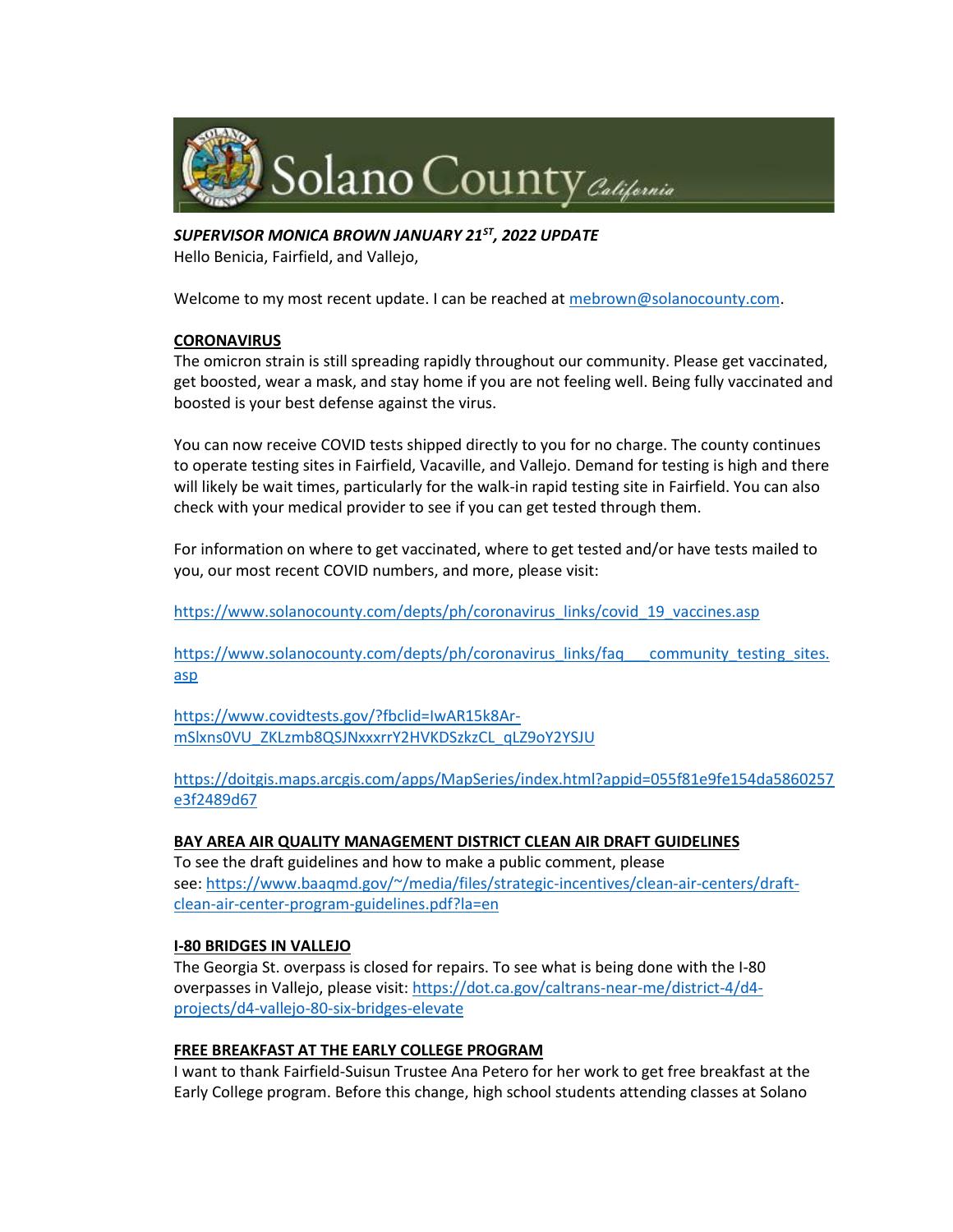

*SUPERVISOR MONICA BROWN JANUARY 21ST, 2022 UPDATE*

Hello Benicia, Fairfield, and Vallejo,

Welcome to my most recent update. I can be reached at [mebrown@solanocounty.com.](mailto:mebrown@solanocounty.com)

# **CORONAVIRUS**

The omicron strain is still spreading rapidly throughout our community. Please get vaccinated, get boosted, wear a mask, and stay home if you are not feeling well. Being fully vaccinated and boosted is your best defense against the virus.

You can now receive COVID tests shipped directly to you for no charge. The county continues to operate testing sites in Fairfield, Vacaville, and Vallejo. Demand for testing is high and there will likely be wait times, particularly for the walk-in rapid testing site in Fairfield. You can also check with your medical provider to see if you can get tested through them.

For information on where to get vaccinated, where to get tested and/or have tests mailed to you, our most recent COVID numbers, and more, please visit:

[https://www.solanocounty.com/depts/ph/coronavirus\\_links/covid\\_19\\_vaccines.asp](https://www.solanocounty.com/depts/ph/coronavirus_links/covid_19_vaccines.asp)

[https://www.solanocounty.com/depts/ph/coronavirus\\_links/faq\\_\\_\\_community\\_testing\\_sites.](https://www.solanocounty.com/depts/ph/coronavirus_links/faq___community_testing_sites.asp) [asp](https://www.solanocounty.com/depts/ph/coronavirus_links/faq___community_testing_sites.asp)

[https://www.covidtests.gov/?fbclid=IwAR15k8Ar](https://www.covidtests.gov/?fbclid=IwAR15k8Ar-mSlxns0VU_ZKLzmb8QSJNxxxrrY2HVKDSzkzCL_qLZ9oY2YSJU)[mSlxns0VU\\_ZKLzmb8QSJNxxxrrY2HVKDSzkzCL\\_qLZ9oY2YSJU](https://www.covidtests.gov/?fbclid=IwAR15k8Ar-mSlxns0VU_ZKLzmb8QSJNxxxrrY2HVKDSzkzCL_qLZ9oY2YSJU)

[https://doitgis.maps.arcgis.com/apps/MapSeries/index.html?appid=055f81e9fe154da5860257](https://doitgis.maps.arcgis.com/apps/MapSeries/index.html?appid=055f81e9fe154da5860257e3f2489d67) [e3f2489d67](https://doitgis.maps.arcgis.com/apps/MapSeries/index.html?appid=055f81e9fe154da5860257e3f2489d67)

# **BAY AREA AIR QUALITY MANAGEMENT DISTRICT CLEAN AIR DRAFT GUIDELINES**

To see the draft guidelines and how to make a public comment, please see: [https://www.baaqmd.gov/~/media/files/strategic-incentives/clean-air-centers/draft](https://www.baaqmd.gov/~/media/files/strategic-incentives/clean-air-centers/draft-clean-air-center-program-guidelines.pdf?la=en)[clean-air-center-program-guidelines.pdf?la=en](https://www.baaqmd.gov/~/media/files/strategic-incentives/clean-air-centers/draft-clean-air-center-program-guidelines.pdf?la=en)

### **I-80 BRIDGES IN VALLEJO**

The Georgia St. overpass is closed for repairs. To see what is being done with the I-80 overpasses in Vallejo, please visit: [https://dot.ca.gov/caltrans-near-me/district-4/d4](https://dot.ca.gov/caltrans-near-me/district-4/d4-projects/d4-vallejo-80-six-bridges-elevate) [projects/d4-vallejo-80-six-bridges-elevate](https://dot.ca.gov/caltrans-near-me/district-4/d4-projects/d4-vallejo-80-six-bridges-elevate)

### **FREE BREAKFAST AT THE EARLY COLLEGE PROGRAM**

I want to thank Fairfield-Suisun Trustee Ana Petero for her work to get free breakfast at the Early College program. Before this change, high school students attending classes at Solano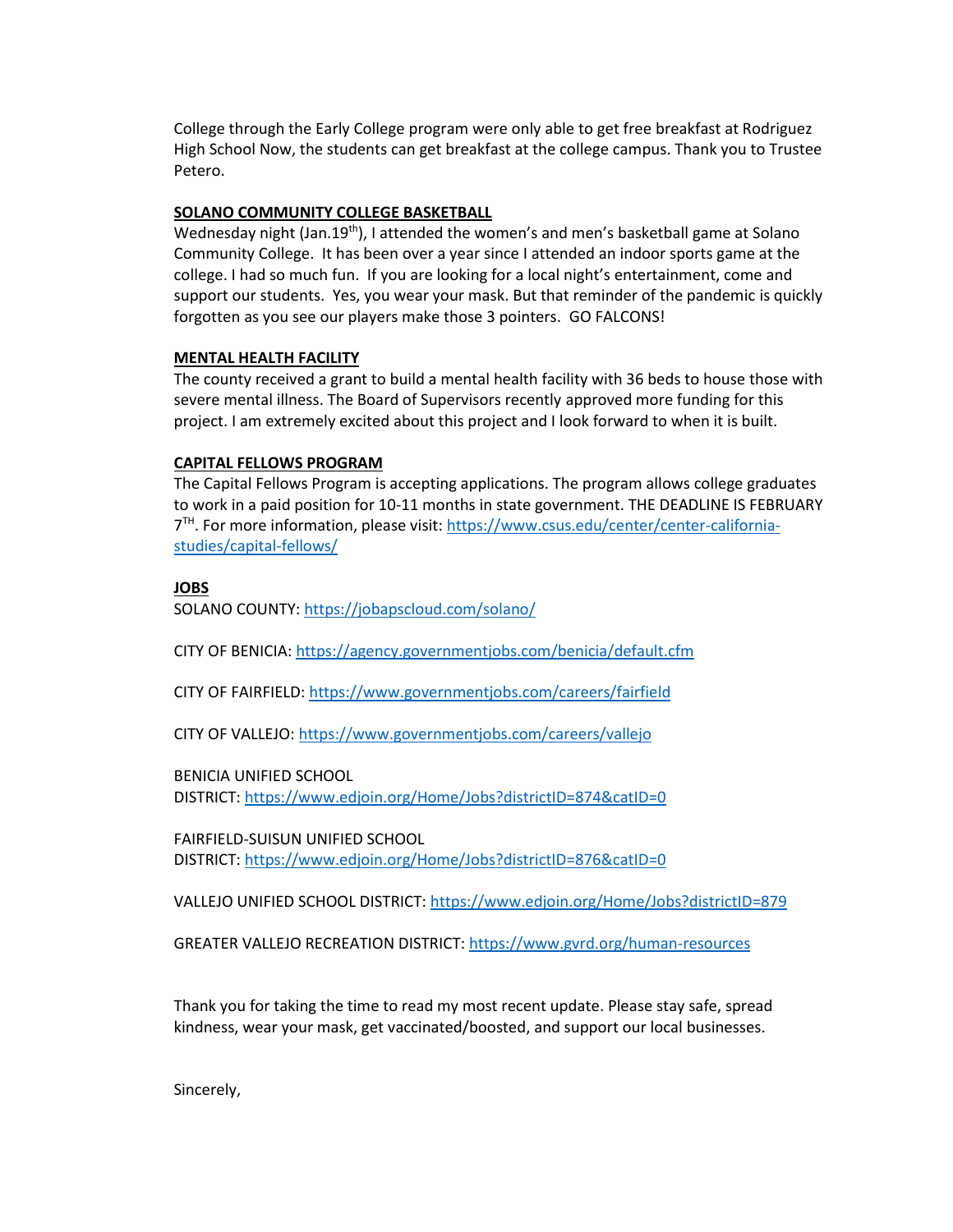College through the Early College program were only able to get free breakfast at Rodriguez High School Now, the students can get breakfast at the college campus. Thank you to Trustee Petero.

### **SOLANO COMMUNITY COLLEGE BASKETBALL**

Wednesday night (Jan.19<sup>th</sup>), I attended the women's and men's basketball game at Solano Community College. It has been over a year since I attended an indoor sports game at the college. I had so much fun. If you are looking for a local night's entertainment, come and support our students. Yes, you wear your mask. But that reminder of the pandemic is quickly forgotten as you see our players make those 3 pointers. GO FALCONS!

## **MENTAL HEALTH FACILITY**

The county received a grant to build a mental health facility with 36 beds to house those with severe mental illness. The Board of Supervisors recently approved more funding for this project. I am extremely excited about this project and I look forward to when it is built.

## **CAPITAL FELLOWS PROGRAM**

The Capital Fellows Program is accepting applications. The program allows college graduates to work in a paid position for 10-11 months in state government. THE DEADLINE IS FEBRUARY 7<sup>TH</sup>. For more information, please visit: [https://www.csus.edu/center/center-california](https://www.csus.edu/center/center-california-studies/capital-fellows/)[studies/capital-fellows/](https://www.csus.edu/center/center-california-studies/capital-fellows/)

# **JOBS**

SOLANO COUNTY: <https://jobapscloud.com/solano/>

CITY OF BENICIA: <https://agency.governmentjobs.com/benicia/default.cfm>

CITY OF FAIRFIELD: <https://www.governmentjobs.com/careers/fairfield>

CITY OF VALLEJO: <https://www.governmentjobs.com/careers/vallejo>

BENICIA UNIFIED SCHOOL

DISTRICT: <https://www.edjoin.org/Home/Jobs?districtID=874&catID=0>

FAIRFIELD-SUISUN UNIFIED SCHOOL

DISTRICT: <https://www.edjoin.org/Home/Jobs?districtID=876&catID=0>

VALLEJO UNIFIED SCHOOL DISTRICT: <https://www.edjoin.org/Home/Jobs?districtID=879>

GREATER VALLEJO RECREATION DISTRICT: <https://www.gvrd.org/human-resources>

Thank you for taking the time to read my most recent update. Please stay safe, spread kindness, wear your mask, get vaccinated/boosted, and support our local businesses.

Sincerely,